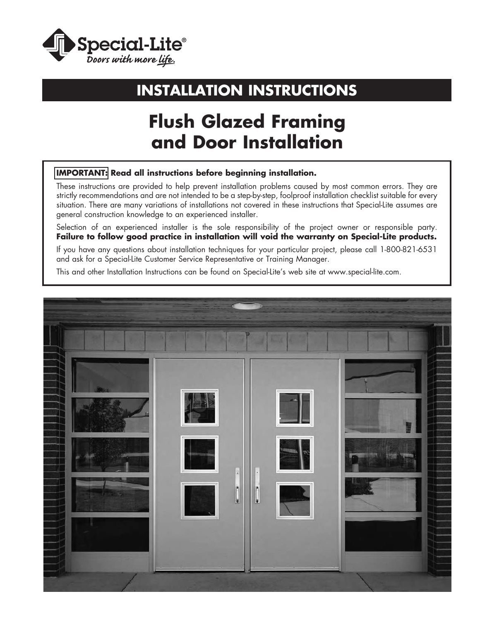

# **INSTALLATION INSTRUCTIONS**

# **Flush Glazed Framing and Door Installation**

### **IMPORTANT: Read all instructions before beginning installation.**

These instructions are provided to help prevent installation problems caused by most common errors. They are strictly recommendations and are not intended to be a step-by-step, foolproof installation checklist suitable for every situation. There are many variations of installations not covered in these instructions that Special-Lite assumes are general construction knowledge to an experienced installer.

Selection of an experienced installer is the sole responsibility of the project owner or responsible party. **Failure to follow good practice in installation will void the warranty on Special-Lite products.**

If you have any questions about installation techniques for your particular project, please call 1-800-821-6531 and ask for a Special-Lite Customer Service Representative or Training Manager.

This and other Installation Instructions can be found on Special-Lite's web site at www.special-lite.com.

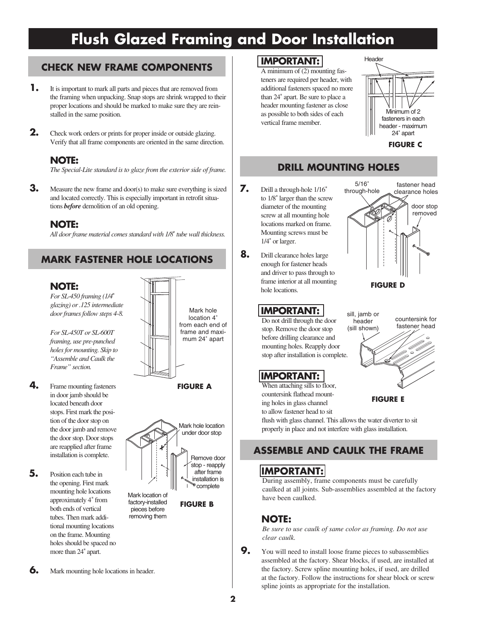## **CHECK NEW FRAME COMPONENTS**

- **1.** It is important to mark all parts and pieces that are removed from the framing when unpacking. Snap stops are shrink wrapped to their proper locations and should be marked to make sure they are reinstalled in the same position.
- **2.** Check work orders or prints for proper inside or outside glazing. Verify that all frame components are oriented in the same direction.

### **NOTE:**

*The Special-Lite standard is to glaze from the exterior side of frame.*

**3.** Measure the new frame and door(s) to make sure everything is sized and located correctly. This is especially important in retrofit situations *before* demolition of an old opening.

### **NOTE:**

*All door frame material comes standard with 1/8*" *tube wall thickness.*

## **MARK FASTENER HOLE LOCATIONS**

### **NOTE:**

*For SL-450 framing (1/4*" *glazing) or .125 intermediate door frames follow steps 4-8.*

*For SL-450T or SL-600T framing, use pre-punched holes for mounting. Skip to "Assemble and Caulk the Frame" section.*



**FIGURE A**

**FIGURE B**

- **4.** Frame mounting fasteners in door jamb should be located beneath door stops. First mark the position of the door stop on the door jamb and remove the door stop. Door stops are reapplied after frame installation is complete.
- **5.** Position each tube in the opening. First mark mounting hole locations approximately 4" from both ends of vertical tubes. Then mark additional mounting locations on the frame. Mounting holes should be spaced no more than 24" apart.



Mark location of factory-installed pieces before removing them

- **7.** Drill a through-hole 1/16"
	- to 1/8" larger than the screw diameter of the mounting screw at all mounting hole locations marked on frame. Mounting screws must be 1/4" or larger.
	- **8.** Drill clearance holes large enough for fastener heads and driver to pass through to frame interior at all mounting hole locations.

## **IMPORTANT:**

Do not drill through the door stop. Remove the door stop before drilling clearance and mounting holes. Reapply door stop after installation is complete.

### **IMPORTANT:**

When attaching sills to floor, countersink flathead mounting holes in glass channel to allow fastener head to sit



Minimum of 2 fasteners in each header - maximum 24" apart

**FIGURE C**

Header



**FIGURE E**

flush with glass channel. This allows the water diverter to sit properly in place and not interfere with glass installation.

## **ASSEMBLE AND CAULK THE FRAME**

## **IMPORTANT:**

During assembly, frame components must be carefully caulked at all joints. Sub-assemblies assembled at the factory have been caulked.

### **NOTE:**

*Be sure to use caulk of same color as framing. Do not use clear caulk.*

**9.** You will need to install loose frame pieces to subassemblies assembled at the factory. Shear blocks, if used, are installed at the factory. Screw spline mounting holes, if used, are drilled at the factory. Follow the instructions for shear block or screw spline joints as appropriate for the installation.

**6.** Mark mounting hole locations in header.

### **IMPORTANT:**

A minimum of (2) mounting fasteners are required per header, with additional fasteners spaced no more than 24" apart. Be sure to place a header mounting fastener as close as possible to both sides of each vertical frame member.

**DRILL MOUNTING HOLES**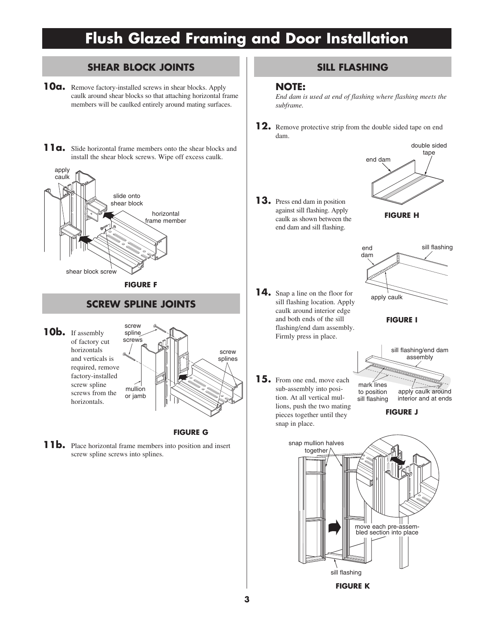### **SHEAR BLOCK JOINTS**

- **10a.** Remove factory-installed screws in shear blocks. Apply caulk around shear blocks so that attaching horizontal frame members will be caulked entirely around mating surfaces.
- 11**a.** Slide horizontal frame members onto the shear blocks and install the shear block screws. Wipe off excess caulk.



### **SCREW SPLINE JOINTS**

**10b.** If assembly of factory cut horizontals and verticals is required, remove factory-installed screw spline screws from the horizontals.



**FIGURE G**

**11b.** Place horizontal frame members into position and insert screw spline screws into splines.

### **SILL FLASHING**

### **NOTE:**

*End dam is used at end of flashing where flashing meets the subframe.*

**12.** Remove protective strip from the double sided tape on end dam.



**14.** Snap a line on the floor for sill flashing location. Apply caulk around interior edge and both ends of the sill flashing/end dam assembly. Firmly press in place.





**FIGURE I**

**15.** From one end, move each sub-assembly into position. At all vertical mullions, push the two mating pieces together until they snap in place.



**FIGURE J**

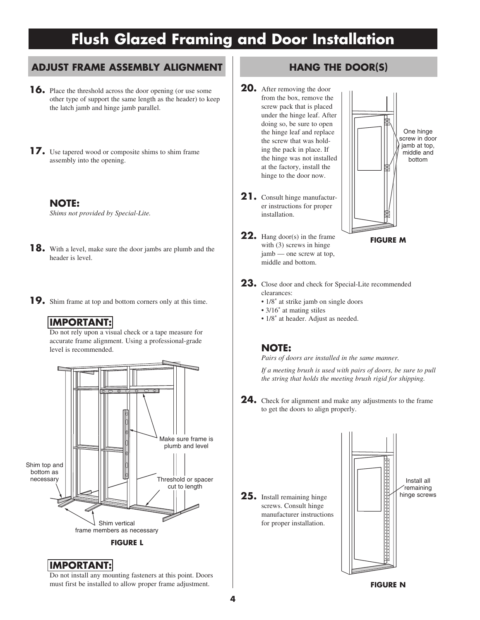### **ADJUST FRAME ASSEMBLY ALIGNMENT**

- **16.** Place the threshold across the door opening (or use some other type of support the same length as the header) to keep the latch jamb and hinge jamb parallel.
- **17.** Use tapered wood or composite shims to shim frame assembly into the opening.
	- **NOTE:** *Shims not provided by Special-Lite.*
- **18.** With a level, make sure the door jambs are plumb and the header is level.
- **19.** Shim frame at top and bottom corners only at this time.

### **IMPORTANT:**

Do not rely upon a visual check or a tape measure for accurate frame alignment. Using a professional-grade level is recommended.



 **IMPORTANT:** Do not install any mounting fasteners at this point. Doors must first be installed to allow proper frame adjustment.

### **HANG THE DOOR(S)**

- **20.** After removing the door from the box, remove the screw pack that is placed under the hinge leaf. After doing so, be sure to open the hinge leaf and replace the screw that was holding the pack in place. If the hinge was not installed at the factory, install the hinge to the door now.
- **21.** Consult hinge manufacturer instructions for proper installation.
- **22.** Hang door(s) in the frame with (3) screws in hinge jamb — one screw at top, middle and bottom.



**FIGURE M**

- **23.** Close door and check for Special-Lite recommended clearances:
	- $1/8$ " at strike jamb on single doors
	- •3/16" at mating stiles
	- $1/8$ " at header. Adjust as needed.

### **NOTE:**

*Pairs of doors are installed in the same manner.*

 *If a meeting brush is used with pairs of doors, be sure to pull the string that holds the meeting brush rigid for shipping.* 

**24.** Check for alignment and make any adjustments to the frame to get the doors to align properly.

**25.** Install remaining hinge screws. Consult hinge manufacturer instructions for proper installation.

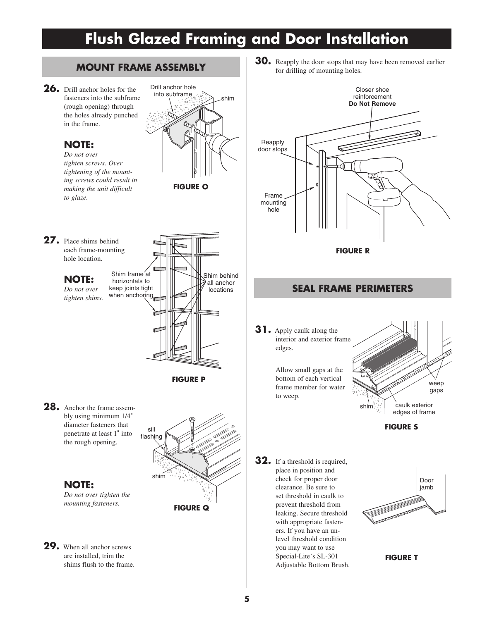

Door jamb

weep gaps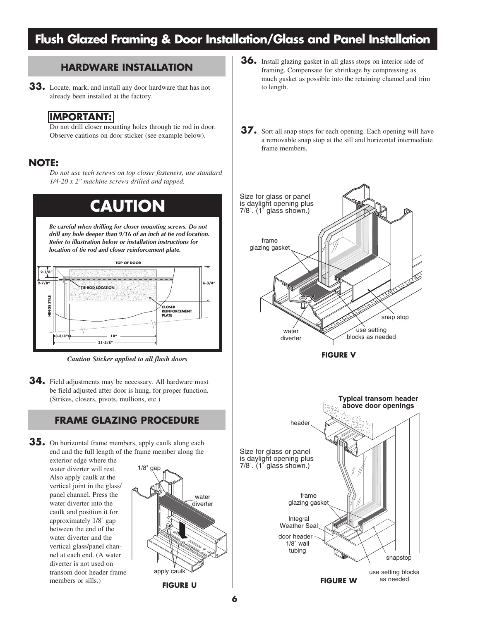# **Flush Glazed Framing & Door Installation/Glass and Panel Installation**

### **HARDWARE INSTALLATION**

**33.** Locate, mark, and install any door hardware that has not already been installed at the factory.

### **IMPORTANT:**

Do not drill closer mounting holes through tie rod in door. Observe cautions on door sticker (see example below).

### **NOTE:**

*Do not use tech screws on top closer fasteners, use standard 1/4-20 x 2" machine screws drilled and tapped.*



*Caution Sticker applied to all flush doors*

**34.** Field adjustments may be necessary. All hardware must be field adjusted after door is hung, for proper function. (Strikes, closers, pivots, mullions, etc.)

### **FRAME GLAZING PROCEDURE**

**35.** On horizontal frame members, apply caulk along each end and the full length of the frame member along the

exterior edge where the water diverter will rest. Also apply caulk at the vertical joint in the glass/ panel channel. Press the water diverter into the caulk and position it for approximately 1/8" gap between the end of the water diverter and the vertical glass/panel channel at each end. (A water diverter is not used on transom door header frame members or sills.)



- **36.** Install glazing gasket in all glass stops on interior side of framing. Compensate for shrinkage by compressing as much gasket as possible into the retaining channel and trim to length.
- **37.** Sort all snap stops for each opening. Each opening will have a removable snap stop at the sill and horizontal intermediate frame members.

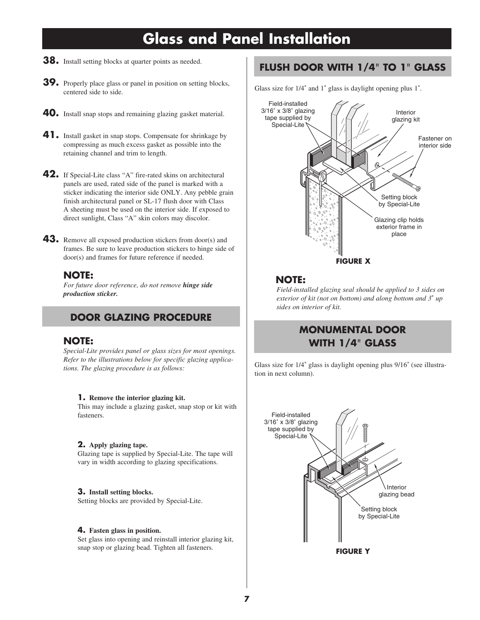# **Glass and Panel Installation**

- **38.** Install setting blocks at quarter points as needed.
- **39.** Properly place glass or panel in position on setting blocks, centered side to side.
- **40.** Install snap stops and remaining glazing gasket material.
- **41.** Install gasket in snap stops. Compensate for shrinkage by compressing as much excess gasket as possible into the retaining channel and trim to length.
- **42.** If Special-Lite class "A" fire-rated skins on architectural panels are used, rated side of the panel is marked with a sticker indicating the interior side ONLY. Any pebble grain finish architectural panel or SL-17 flush door with Class A sheeting must be used on the interior side. If exposed to direct sunlight, Class "A" skin colors may discolor.
- **43.** Remove all exposed production stickers from door(s) and frames. Be sure to leave production stickers to hinge side of door(s) and frames for future reference if needed.

#### **NOTE:**

*For future door reference, do not remove hinge side production sticker.*

### **DOOR GLAZING PROCEDURE**

#### **NOTE:**

*Special-Lite provides panel or glass sizes for most openings. Refer to the illustrations below for specific glazing applications. The glazing procedure is as follows:*

#### **1. Remove the interior glazing kit.**

This may include a glazing gasket, snap stop or kit with fasteners.

#### **2. Apply glazing tape.**

Glazing tape is supplied by Special-Lite. The tape will vary in width according to glazing specifications.

#### **3. Install setting blocks.**

Setting blocks are provided by Special-Lite.

#### **4. Fasten glass in position.**

Set glass into opening and reinstall interior glazing kit, snap stop or glazing bead. Tighten all fasteners.

### **FLUSH DOOR WITH 1/4**" **TO 1**" **GLASS**

Glass size for 1/4" and 1" glass is daylight opening plus 1".



### **NOTE:**

*Field-installed glazing seal should be applied to 3 sides on exterior of kit (not on bottom) and along bottom and 3*" *up sides on interior of kit.*

## **MONUMENTAL DOOR WITH 1/4**" **GLASS**

Glass size for 1/4" glass is daylight opening plus 9/16" (see illustration in next column).